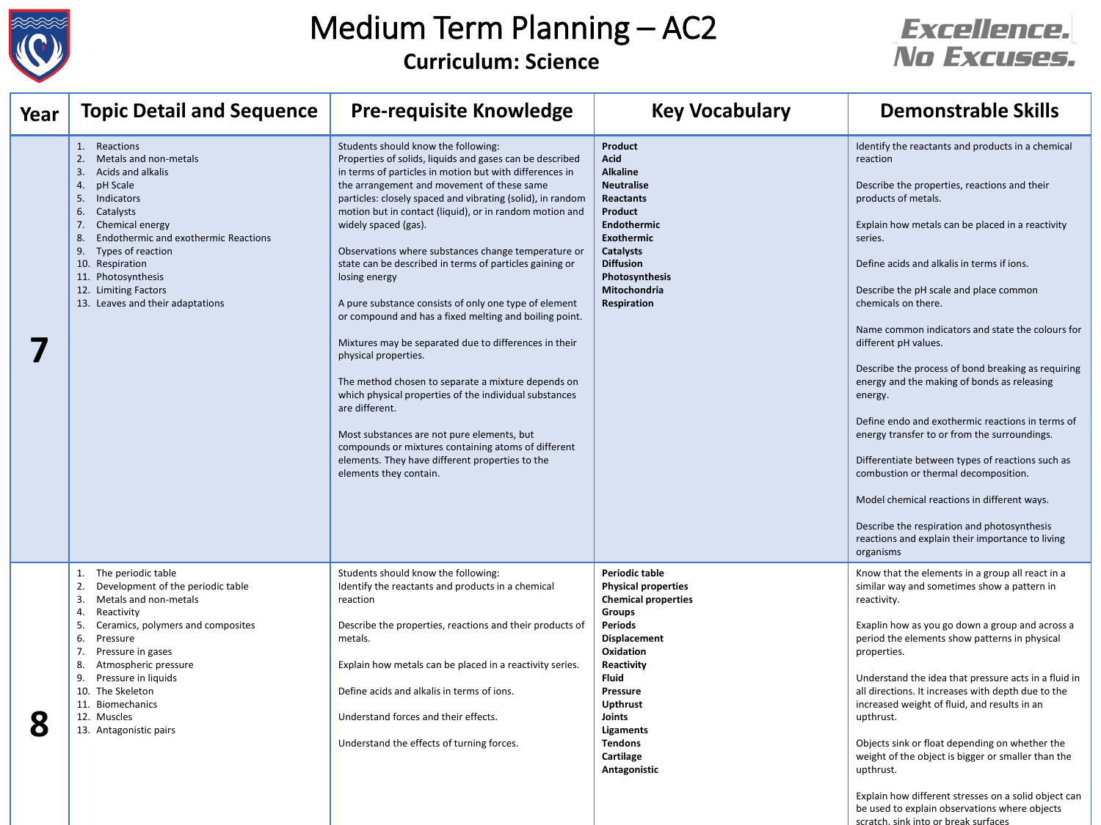

### Medium Term Planning – AC2 **Curriculum: Science**

### *Excellence.* No Excuses.

| Year | <b>Topic Detail and Sequence</b>                                                                                                                                                                                                                                                                                                                  | <b>Pre-requisite Knowledge</b>                                                                                                                                                                                                                                                                                                                                                                                                                                                                                                                                                                                                                                                                                                                                                                                                                                                                                                                                                                                       | <b>Key Vocabulary</b>                                                                                                                                                                                                                                                                              | <b>Demonstrable Skills</b>                                                                                                                                                                                                                                                                                                                                                                                                                                                                                                                                                                                                                                                                                                                                                                                                                                                    |
|------|---------------------------------------------------------------------------------------------------------------------------------------------------------------------------------------------------------------------------------------------------------------------------------------------------------------------------------------------------|----------------------------------------------------------------------------------------------------------------------------------------------------------------------------------------------------------------------------------------------------------------------------------------------------------------------------------------------------------------------------------------------------------------------------------------------------------------------------------------------------------------------------------------------------------------------------------------------------------------------------------------------------------------------------------------------------------------------------------------------------------------------------------------------------------------------------------------------------------------------------------------------------------------------------------------------------------------------------------------------------------------------|----------------------------------------------------------------------------------------------------------------------------------------------------------------------------------------------------------------------------------------------------------------------------------------------------|-------------------------------------------------------------------------------------------------------------------------------------------------------------------------------------------------------------------------------------------------------------------------------------------------------------------------------------------------------------------------------------------------------------------------------------------------------------------------------------------------------------------------------------------------------------------------------------------------------------------------------------------------------------------------------------------------------------------------------------------------------------------------------------------------------------------------------------------------------------------------------|
|      | $\mathbf{1}$ .<br>Reactions<br>Metals and non-metals<br>Acids and alkalis<br>3.<br>pH Scale<br>4<br>Indicators<br>5.<br>Catalysts<br>6.<br>Chemical energy<br><b>Endothermic and exothermic Reactions</b><br>8.<br>Types of reaction<br>9.<br>10. Respiration<br>11. Photosynthesis<br>12. Limiting Factors<br>13. Leaves and their adaptations   | Students should know the following:<br>Properties of solids, liquids and gases can be described<br>in terms of particles in motion but with differences in<br>the arrangement and movement of these same<br>particles: closely spaced and vibrating (solid), in random<br>motion but in contact (liquid), or in random motion and<br>widely spaced (gas).<br>Observations where substances change temperature or<br>state can be described in terms of particles gaining or<br>losing energy<br>A pure substance consists of only one type of element<br>or compound and has a fixed melting and boiling point.<br>Mixtures may be separated due to differences in their<br>physical properties.<br>The method chosen to separate a mixture depends on<br>which physical properties of the individual substances<br>are different.<br>Most substances are not pure elements, but<br>compounds or mixtures containing atoms of different<br>elements. They have different properties to the<br>elements they contain. | <b>Product</b><br><b>Acid</b><br><b>Alkaline</b><br><b>Neutralise</b><br>Reactants<br>Product<br>Endothermic<br>Exothermic<br><b>Catalysts</b><br><b>Diffusion</b><br>Photosynthesis<br>Mitochondria<br><b>Respiration</b>                                                                         | Identify the reactants and products in a chemical<br>reaction<br>Describe the properties, reactions and their<br>products of metals.<br>Explain how metals can be placed in a reactivity<br>series.<br>Define acids and alkalis in terms if ions.<br>Describe the pH scale and place common<br>chemicals on there.<br>Name common indicators and state the colours for<br>different pH values.<br>Describe the process of bond breaking as requiring<br>energy and the making of bonds as releasing<br>energy.<br>Define endo and exothermic reactions in terms of<br>energy transfer to or from the surroundings.<br>Differentiate between types of reactions such as<br>combustion or thermal decomposition.<br>Model chemical reactions in different ways.<br>Describe the respiration and photosynthesis<br>reactions and explain their importance to living<br>organisms |
| 8    | 1. The periodic table<br>Development of the periodic table<br>Metals and non-metals<br>3.<br>Reactivity<br>4.<br>Ceramics, polymers and composites<br>5.<br>6.<br>Pressure<br>7.<br>Pressure in gases<br>Atmospheric pressure<br>8.<br>Pressure in liquids<br>9.<br>10. The Skeleton<br>11. Biomechanics<br>12. Muscles<br>13. Antagonistic pairs | Students should know the following:<br>Identify the reactants and products in a chemical<br>reaction<br>Describe the properties, reactions and their products of<br>metals.<br>Explain how metals can be placed in a reactivity series.<br>Define acids and alkalis in terms of ions.<br>Understand forces and their effects.<br>Understand the effects of turning forces.                                                                                                                                                                                                                                                                                                                                                                                                                                                                                                                                                                                                                                           | <b>Periodic table</b><br><b>Physical properties</b><br><b>Chemical properties</b><br><b>Groups</b><br>Periods<br><b>Displacement</b><br>Oxidation<br>Reactivity<br><b>Fluid</b><br><b>Pressure</b><br><b>Upthrust</b><br>Joints<br><b>Ligaments</b><br><b>Tendons</b><br>Cartilage<br>Antagonistic | Know that the elements in a group all react in a<br>similar way and sometimes show a pattern in<br>reactivity.<br>Exaplin how as you go down a group and across a<br>period the elements show patterns in physical<br>properties.<br>Understand the idea that pressure acts in a fluid in<br>all directions. It increases with depth due to the<br>increased weight of fluid, and results in an<br>upthrust.<br>Objects sink or float depending on whether the<br>weight of the object is bigger or smaller than the<br>upthrust.                                                                                                                                                                                                                                                                                                                                             |

Explain how different stresses on a solid object can be used to explain observations where objects scratch, sink into or break surfaces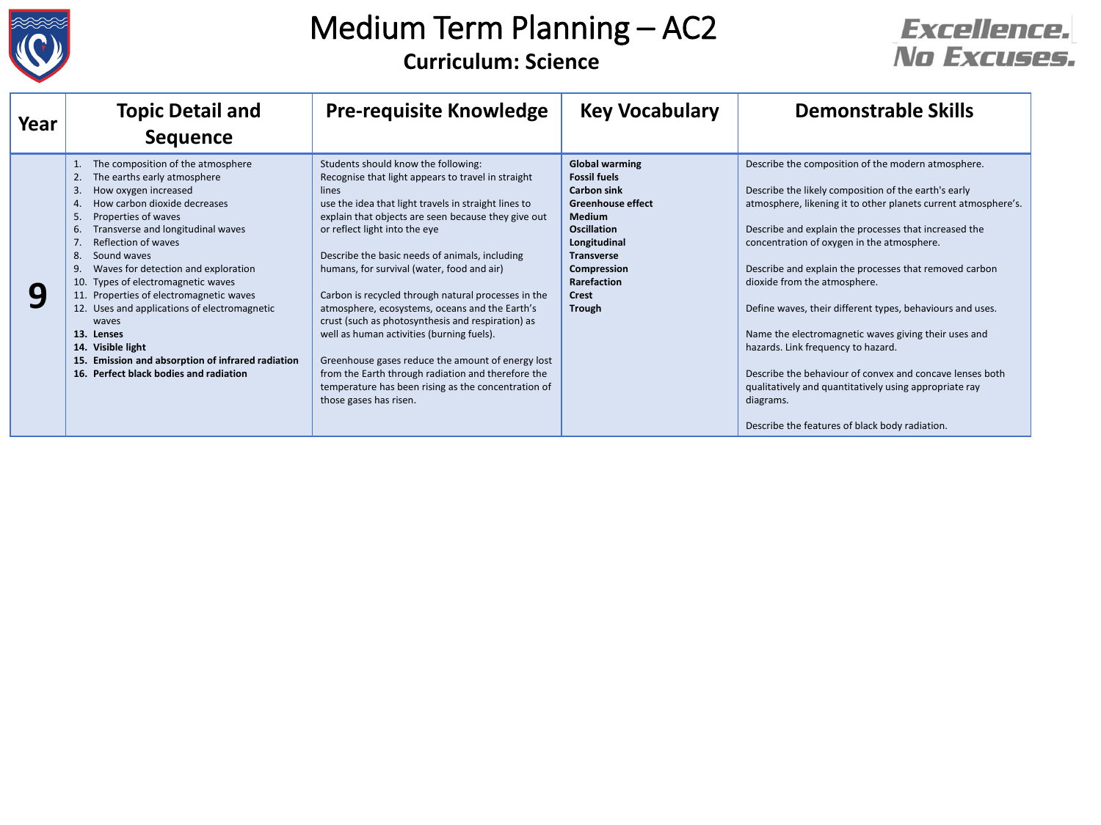

### Medium Term Planning – AC2 **Curriculum: Science**

### **Excellence.** No Excuses.

| Year | <b>Topic Detail and</b><br><b>Sequence</b>                                                                                                                                                                                                                                                                                                                                                                                                                                                                                                                                      | <b>Pre-requisite Knowledge</b>                                                                                                                                                                                                                                                                                                                                                                                                                                                                                                                                                                                                                                                                                                                            | <b>Key Vocabulary</b>                                                                                                                                                                                                              | <b>Demonstrable Skills</b>                                                                                                                                                                                                                                                                                                                                                                                                                                                                                                                                                                                                                                                                                                    |
|------|---------------------------------------------------------------------------------------------------------------------------------------------------------------------------------------------------------------------------------------------------------------------------------------------------------------------------------------------------------------------------------------------------------------------------------------------------------------------------------------------------------------------------------------------------------------------------------|-----------------------------------------------------------------------------------------------------------------------------------------------------------------------------------------------------------------------------------------------------------------------------------------------------------------------------------------------------------------------------------------------------------------------------------------------------------------------------------------------------------------------------------------------------------------------------------------------------------------------------------------------------------------------------------------------------------------------------------------------------------|------------------------------------------------------------------------------------------------------------------------------------------------------------------------------------------------------------------------------------|-------------------------------------------------------------------------------------------------------------------------------------------------------------------------------------------------------------------------------------------------------------------------------------------------------------------------------------------------------------------------------------------------------------------------------------------------------------------------------------------------------------------------------------------------------------------------------------------------------------------------------------------------------------------------------------------------------------------------------|
| q    | The composition of the atmosphere<br>The earths early atmosphere<br>2.<br>How oxygen increased<br>3.<br>How carbon dioxide decreases<br>Properties of waves<br>5.<br>Transverse and longitudinal waves<br>6.<br>Reflection of waves<br>8<br>Sound waves<br>Waves for detection and exploration<br>9<br>10. Types of electromagnetic waves<br>11. Properties of electromagnetic waves<br>12. Uses and applications of electromagnetic<br>waves<br>13. Lenses<br>14. Visible light<br>15. Emission and absorption of infrared radiation<br>16. Perfect black bodies and radiation | Students should know the following:<br>Recognise that light appears to travel in straight<br>lines<br>use the idea that light travels in straight lines to<br>explain that objects are seen because they give out<br>or reflect light into the eye<br>Describe the basic needs of animals, including<br>humans, for survival (water, food and air)<br>Carbon is recycled through natural processes in the<br>atmosphere, ecosystems, oceans and the Earth's<br>crust (such as photosynthesis and respiration) as<br>well as human activities (burning fuels).<br>Greenhouse gases reduce the amount of energy lost<br>from the Earth through radiation and therefore the<br>temperature has been rising as the concentration of<br>those gases has risen. | <b>Global warming</b><br><b>Fossil fuels</b><br><b>Carbon sink</b><br><b>Greenhouse effect</b><br><b>Medium</b><br><b>Oscillation</b><br>Longitudinal<br><b>Transverse</b><br>Compression<br>Rarefaction<br><b>Crest</b><br>Trough | Describe the composition of the modern atmosphere.<br>Describe the likely composition of the earth's early<br>atmosphere, likening it to other planets current atmosphere's.<br>Describe and explain the processes that increased the<br>concentration of oxygen in the atmosphere.<br>Describe and explain the processes that removed carbon<br>dioxide from the atmosphere.<br>Define waves, their different types, behaviours and uses.<br>Name the electromagnetic waves giving their uses and<br>hazards. Link frequency to hazard.<br>Describe the behaviour of convex and concave lenses both<br>qualitatively and quantitatively using appropriate ray<br>diagrams.<br>Describe the features of black body radiation. |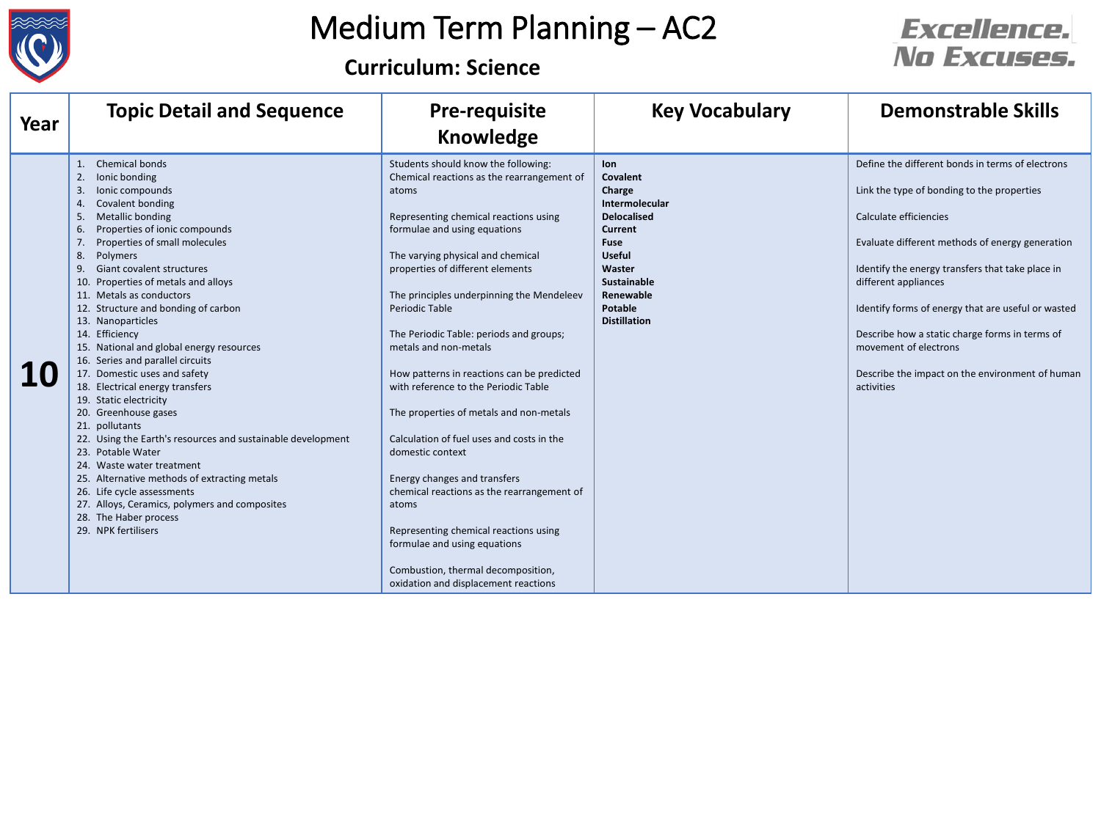

# Medium Term Planning – AC2

**Curriculum: Science**

#### **Excellence.** No Excuses.

| Year | <b>Topic Detail and Sequence</b>                                                                                                                                                                                                                                                                                                                                                                                                                                                                                                                                                                                                                                                                                                                                                                                                                                                                                                           | <b>Pre-requisite</b><br><b>Knowledge</b>                                                                                                                                                                                                                                                                                                                                                                                                                                                                                                                                                                                                                                                                                                                                                                                               | <b>Key Vocabulary</b>                                                                                                                                                                                                          | <b>Demonstrable Skills</b>                                                                                                                                                                                                                                                                                                                                                                                                                                |
|------|--------------------------------------------------------------------------------------------------------------------------------------------------------------------------------------------------------------------------------------------------------------------------------------------------------------------------------------------------------------------------------------------------------------------------------------------------------------------------------------------------------------------------------------------------------------------------------------------------------------------------------------------------------------------------------------------------------------------------------------------------------------------------------------------------------------------------------------------------------------------------------------------------------------------------------------------|----------------------------------------------------------------------------------------------------------------------------------------------------------------------------------------------------------------------------------------------------------------------------------------------------------------------------------------------------------------------------------------------------------------------------------------------------------------------------------------------------------------------------------------------------------------------------------------------------------------------------------------------------------------------------------------------------------------------------------------------------------------------------------------------------------------------------------------|--------------------------------------------------------------------------------------------------------------------------------------------------------------------------------------------------------------------------------|-----------------------------------------------------------------------------------------------------------------------------------------------------------------------------------------------------------------------------------------------------------------------------------------------------------------------------------------------------------------------------------------------------------------------------------------------------------|
| 10   | Chemical bonds<br>1.<br>2.<br>lonic bonding<br>3.<br>lonic compounds<br>Covalent bonding<br>4.<br>Metallic bonding<br>5.<br>Properties of ionic compounds<br>6.<br>Properties of small molecules<br>7.<br>Polymers<br>8.<br><b>Giant covalent structures</b><br>9.<br>10. Properties of metals and alloys<br>11. Metals as conductors<br>12. Structure and bonding of carbon<br>13. Nanoparticles<br>14. Efficiency<br>15. National and global energy resources<br>16. Series and parallel circuits<br>17. Domestic uses and safety<br>18. Electrical energy transfers<br>19. Static electricity<br>20. Greenhouse gases<br>21. pollutants<br>22. Using the Earth's resources and sustainable development<br>23. Potable Water<br>24. Waste water treatment<br>25. Alternative methods of extracting metals<br>26. Life cycle assessments<br>27. Alloys, Ceramics, polymers and composites<br>28. The Haber process<br>29. NPK fertilisers | Students should know the following:<br>Chemical reactions as the rearrangement of<br>atoms<br>Representing chemical reactions using<br>formulae and using equations<br>The varying physical and chemical<br>properties of different elements<br>The principles underpinning the Mendeleev<br><b>Periodic Table</b><br>The Periodic Table: periods and groups;<br>metals and non-metals<br>How patterns in reactions can be predicted<br>with reference to the Periodic Table<br>The properties of metals and non-metals<br>Calculation of fuel uses and costs in the<br>domestic context<br>Energy changes and transfers<br>chemical reactions as the rearrangement of<br>atoms<br>Representing chemical reactions using<br>formulae and using equations<br>Combustion, thermal decomposition,<br>oxidation and displacement reactions | <b>lon</b><br><b>Covalent</b><br>Charge<br><b>Intermolecular</b><br><b>Delocalised</b><br><b>Current</b><br><b>Fuse</b><br><b>Useful</b><br>Waster<br><b>Sustainable</b><br>Renewable<br><b>Potable</b><br><b>Distillation</b> | Define the different bonds in terms of electrons<br>Link the type of bonding to the properties<br>Calculate efficiencies<br>Evaluate different methods of energy generation<br>Identify the energy transfers that take place in<br>different appliances<br>Identify forms of energy that are useful or wasted<br>Describe how a static charge forms in terms of<br>movement of electrons<br>Describe the impact on the environment of human<br>activities |